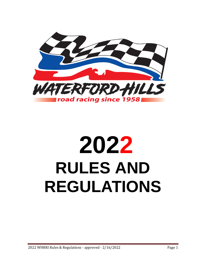

# **2022 RULES AND REGULATIONS**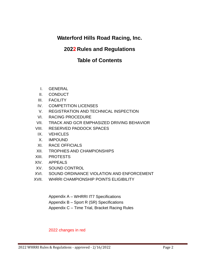# **Waterford Hills Road Racing, Inc.**

## **2022 Rules and Regulations**

# **Table of Contents**

- I. GENERAL
- II. CONDUCT
- III. FACILITY
- IV. COMPETITION LICENSES
- V. REGISTRATION AND TECHNICAL INSPECTION
- VI. RACING PROCEDURE
- VII. TRACK AND GCR EMPHASIZED DRIVING BEHAVIOR
- VIII. RESERVED PADDOCK SPACES
- IX. VEHICLES
- X. IMPOUND
- XI. RACE OFFICIALS
- XII. TROPHIES AND CHAMPIONSHIPS
- XIII. PROTESTS
- XIV. APPEALS
- XV. SOUND CONTROL
- XVI. SOUND ORDINANCE VIOLATION AND ENFORCEMENT
- XVII. WHRRI CHAMPIONSHIP POINTS ELIGIBILITY

Appendix A – WHRRI IT7 Specifications Appendix B – Sport R (SR) Specifications Appendix C – Time Trial, Bracket Racing Rules

#### 2022 changes in red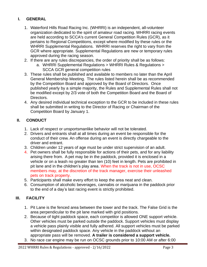## **I. GENERAL**

- 1. Waterford Hills Road Racing Inc. (WHRRI) is an independent, all-volunteer organization dedicated to the spirit of amateur road racing. WHRRI racing events are held according to SCCA's current General Competition Rules (GCR), as it pertains to Regional Competitions, except where modified by these rules or the WHRRI Supplemental Regulations. WHRRI reserves the right to vary from the GCR where appropriate. Supplemental Regulations are new or temporary rules approved during the racing season.
- 2. If there are any rules discrepancies, the order of priority shall be as follows:
	- a. WHRRI Supplemental Regulations > WHRRI Rules & Regulations > SCCA GCR general competition rules
- 3. These rules shall be published and available to members no later than the April General Membership Meeting. The rules listed herein shall be as recommended by the Competition Board and approved by the Board of Directors. Once published yearly by a simple majority, the Rules and Supplemental Rules shall not be modified except by 2/3 vote of both the Competition Board and the Board of Directors.
- 4. Any desired individual technical exception to the GCR to be included in these rules shall be submitted in writing to the Director of Racing or Chairman of the Competition Board by January 1.

#### **II. CONDUCT**

- 1. Lack of respect or unsportsmanlike behavior will not be tolerated.
- 2. Drivers and entrants shall at all times during an event be responsible for the conduct of their crew. An offense during an event is directly chargeable to the driver and entrant.
- 3. Children under 12 years of age must be under strict supervision of an adult.
- 4. Pet owners shall be fully responsible for actions of their pets, and for any liability arising there from. A pet may be in the paddock, provided it is enclosed in a vehicle or on a leash no greater than ten (10) feet in length. Pets are prohibited in pit lane and in the children's play area. When the track is not in use, OCSC members may, at the discretion of the track manager, exercise their unleashed pets on track property.
- 5. Participants shall make every effort to keep the area neat and clean.
- 6. Consumption of alcoholic beverages, cannabis or marijuana in the paddock prior to the end of a day's last racing event is strictly prohibited.

#### **III. FACILITY**

- 1. Pit Lane is the fenced area between the tower and the track. The False Grid is the area perpendicular to the pit lane marked with grid positions.
- 2. Because of tight paddock space, each competitor is allowed ONE support vehicle. Other vehicles must be parked outside the paddock. Support vehicles must display a vehicle pass plainly visible and fully adhered. All support vehicles must be parked within designated paddock space. Any vehicle in the paddock without an appropriate pass will be removed. **A trailer is considered a support vehicle.**
- 3. No race car engine may be run on OCSC grounds prior to 10:00 AM or after 6:00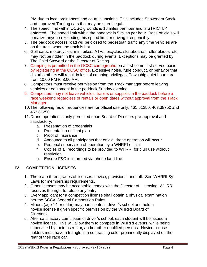PM due to local ordinances and court injunctions. This includes Showroom Stock and Improved Touring cars that may be street legal.

- 4. The speed limit within OCSC grounds is 15 miles per hour and is STRICTLY enforced. The speed limit within the paddock is 5 miles per hour. Race officials will penalize anyone exceeding this speed limit or driving irresponsibly.
- 5. The paddock access road will be closed to pedestrian traffic any time vehicles are on the track when the track is hot.
- 6. Golf carts, motorcycles, mini-bikes, ATVs, bicycles, skateboards, roller blades, etc. may Not be ridden in the paddock during events. Exceptions may be granted by The Chief Steward or the Director of Racing.
- 7. Camping is permitted in the OCSC campground on a first-come first-served basis by registering at the OCSC office. Excessive noise, rude conduct, or behavior that disturbs others will result in loss of camping privileges. Township quiet hours are from 10:00 PM to 8:00 AM.
- 8. Competitors must receive permission from the Track manager before leaving vehicles or equipment in the paddock Sunday evening.
- 9. Competitors may not leave vehicles, trailers or supplies in the paddock before a race weekend regardless of rentals or open dates without approval from the Track Manager.
- 10.The following radio frequencies are for official use only: 461.61250, 463.38750 and 463.81250
- 11.Drone operation is only permitted upon Board of Directors pre-approval and satisfactory:
	- a. Presentation of credentials
	- b. Presentation of flight plan
	- c. Proof of Insurance
	- d. Announce to all participants that official drone operation will occur
	- e. Personal supervision of operation by a WHRRI official
	- f. Copies of all recordings to be provided to WHRRI for club use without restriction
	- g. Ensure F&C is informed via phone land line

## **IV. COMPETITION LICENSES**

- 1. There are three grades of licenses: novice, provisional and full. See WHRRI By-Laws for membership requirements.
- 2. Other licenses may be acceptable, check with the Director of Licensing. WHRRI reserves the right to refuse any entry.
- 3. Every applicant for a competition license shall obtain a physical examination per the SCCA General Competition Rules.
- 4. Minors (age 14 or older) may participate in driver's school and hold a novice license if given specific permission by the WHRRI Board of Directors.
- 5. After satisfactory completion of driver's school, each student will be issued a novice license. This will allow them to compete in WHRRI events, while being supervised by their instructor, and/or other qualified persons. Novice license holders must have a triangle in a contrasting color prominently displayed on the rear of their race car.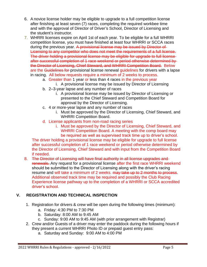- 6. A novice license holder may be eligible to upgrade to a full competition license after finishing at least seven (7) races, completing the required workbee time and with the approval of Director of Driver's School, Director of Licensing and the student's instructor.
- 7. WHRRI licenses expire on April 1st of each year. To be eligible for a full WHRRI competition license, you must have finished at least four WHRRI or SCCA races during the previous year. A provisional license may be issued by Director of Licensing to any competitor who does not meet the requirements of a full license. The driver holding a provisional license may be eligible for upgrade to full license after successful completion of 1 race weekend or period otherwise determined by the Director of Licensing, Chief Steward, and WHRRI Competition Board. Below are the Guidelines for provisional license renewal guidelines for drivers with a lapse in racing. All below requests require a minimum of 2 weeks to process.
	- a. Greater than 1 year or less than 4 races in the previous year
		- i. A provisional license may be issued by Director of Licensing
	- b. 2–3-year lapse and any number of races
		- i. A provisional license may be issued by Director of Licensing or presented to the Chief Steward and Competition Board for approval by the Director of Licensing.
	- c. 4 or more-year lapse and any number of races
		- i. Must be approved by the Director of Licensing, Chief Steward, and WHRRI Competition Board.
	- d. License applicants from non-road racing series
		- i. Must be approved by the Director of Licensing, Chief Steward, and WHRRI Competition Board. A meeting with the comp board may be required as well as supervised track time up to driver's school.

The driver holding a provisional license may be eligible for upgrade to full license after successful completion of 1 race weekend or period otherwise determined by the Director of Licensing, Chief Steward and with input from the Competition Board if needed.

8. The Director of Licensing will have final authority in all license upgrades and renewals. Any request for a provisional license after the first race WHRRI weekend should be submitted to the Director of Licensing along with the driver's racing resume and will take a minimum of 2 weeks. may take up to 2 months to process. Additional observed track time may be required and possibly the Club Racing Experience license pathway up to the completion of a WHRRI or SCCA accredited driver's school.

## **V. REGISTRATION AND TECHNICAL INSPECTION**

- 1. Registration for drivers & crew will be open during the following times (minimum):
	- a. Friday: 4:30 PM to 7:30 PM
	- b. Saturday: 8:00 AM to 9:45 AM
	- c. Sunday: 9:00 AM to 9:45 AM (with prior arrangement with Registrar)
- 2. Crew and/or Guests of a driver may enter the paddock during the following hours if they present a current WHRRI Photo ID or prepaid guest entry pass:
	- a. Saturday and Sunday: 9:00 AM to 4:00 PM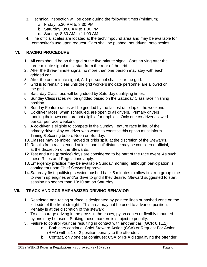- 3. Technical inspection will be open during the following times (minimum):
	- a. Friday: 5:30 PM to 8:30 PM
	- b. Saturday: 8:00 AM to 1:00 PM
	- c. Sunday: 8:30 AM to 11:00 AM
- 4. The official scales are located at the tech/impound area and may be available for competitor's use upon request. Cars shall be pushed, not driven, onto scales.

## **VI. RACING PROCEDURE**

- 1. All cars should be on the grid at the five-minute signal. Cars arriving after the three-minute signal must start from the rear of the grid.
- 2. After the three-minute signal no more than one person may stay with each gridded car.
- 3. After the one-minute signal, ALL personnel shall clear the grid.
- 4. Grid is to remain clear until the grid workers indicate personnel are allowed on the grid.
- 5. Saturday Class race will be gridded by Saturday qualifying times.
- 6. Sunday Class races will be gridded based on the Saturday Class race finishing position.
- 7. Sunday Feature races will be gridded by the fastest race lap of the weekend.
- 8. Co-driver races, when scheduled, are open to all drivers. Primary drivers running their own cars are not eligible for trophies. Only one co-driver allowed per car per race weekend.
- 9. A co-driver is eligible to compete in the Sunday Feature race in lieu of the primary driver. Any co-driver who wants to exercise this option must inform Timing & Scoring before Noon on Sunday.
- 10.Classes may be mixed, moved or grids split, at the discretion of the Stewards.
- 11.Results from races ended at less than half distance may be considered official, at the discretion of the Stewards.
- 12.Test and tune (practice) days are considered to be part of the race event. As such, these Rules and Regulations apply.
- 13.Emergency practice may be available Sunday morning, although participation is contingent upon Chief Steward approval.
- 14.Saturday first qualifying session pushed back 5 minutes to allow first run group time to warm up engines and/or drive to grid if they desire. Steward suggested to start session no sooner than 10:10 am on Saturday.

## **VII. TRACK AND GCR EMPHASIZED DRIVING BEHAVIOR**

- 1. Restricted non-racing surface is designated by painted lines or hashed zone on the left side of the front straight. This area may not be used to advance position. Penalty is at the discretion of the steward.
- 2. To discourage driving in the grass in the esses, pylon cones or flexibly mounted pylons may be used. Striking these markers is subject to penalty.
- 3. Failure to control your car resulting in contact with another car. (GCR 6.11.1)
	- a. Both cars continue: Chief Steward Action (CSA) or Request For Action (RFA) with a 1 or 2 position penalty to the offender.
	- b. Contact, only one car continues: CSA or RFA disqualifying the offender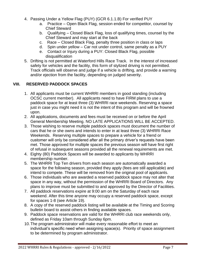- 4. Passing Under a Yellow Flag (PUY) (GCR 6.1.1.B) For verified PUY
	- a. Practice Open Black Flag, session ended for competitor, counsel by Chief Steward
	- b. Qualifying Closed Black Flag, loss of qualifying times, counsel by the Chief Steward and may start at the back
	- c. Race Closed Black Flag, penalty three position in class or laps
	- d. Spin under yellow Car not under control, same penalty as a PUY
	- e. Contact or Injury during a PUY: Closed Black Flag, possible disqualification
- 5. Drifting is not permitted at Waterford Hills Race Track. In the interest of increased safety for vehicles and the facility, this form of stylized driving is not permitted. Track officials will observe and judge if a vehicle is drifting, and provide a warning and/or ejection from the facility, depending on judged severity.

#### **VIII. RESERVED PADDOCK SPACES**

- 1. All applicants must be current WHRRI members in good standing (including OCSC current member). All applicants need to have FIRM plans to use a paddock space for at least three (3) WHRRI race weekends. Reserving a space just in case you might need it is not the intent of this program and will be frowned upon.
- 2. All applications, documents and fees must be received on or before the April General Membership Meeting. NO LATE APPLICATIONS WILL BE ACCEPTED.
- 3. Those wishing to reserve multiple paddock spaces must document the number of cars that he or she owns and intends to enter in at least three (3) WHRRI Race Weekends. Reserving multiple spaces to prepare a vehicle for a friend or customer will only be considered after all the primary driver's requests have been met. Those approved for multiple spaces the previous season will have first right of refusal in subsequent seasons provided all the renewal requirements are met.
- 4. Eighty (80) Paddock Spaces will be awarded to applicants by WHRRI membership number.
- 5. The WHRRI Top Ten drivers from each season are automatically awarded a space for the following season, provided they apply (fees are still applicable) and intend to compete. These will be removed from the original pool of applicants.
- 6. Those individuals who are awarded a reserved paddock space may not alter that space in any way, without the permission of the WHRRI Board of Directors. Any plans to improve must be submitted to and approved by the Director of Facilities.
- 7. All paddock reservations expire at 9:00 am on the Saturday of each race weekend. After this time anyone may occupy a reserved paddock space, except for spaces 1-8 (see Article 19).
- 8. A copy of the reserved paddock listing will be available at the Timing and Scoring bulletin board to assist others in finding available spaces.
- 9. Paddock space reservations are valid for the WHRRI club race weekends only, defined as Friday 10am through Sunday 6pm.
- 10.The program administrator will make every reasonable effort to meet an individual's specific need when assigning space(s). Priority of space assignment to be determined by program administrator.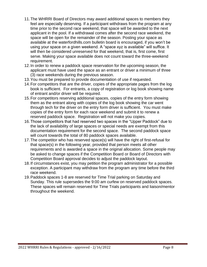- 11.The WHRRI Board of Directors may award additional spaces to members they feel are especially deserving. If a participant withdraws from the program at any time prior to the second race weekend, that space will be awarded to the next applicant in the pool. If a withdrawal comes after the second race weekend, the space will be open for the remainder of the season. Posting your space as available at the waterfordhills.com bulletin board is encouraged, if you won't be using your space on a given weekend. A "space xyz is available" will suffice. It will then be considered unreserved for that weekend, that is, first come, first serve. Making your space available does not count toward the three-weekend requirement.
- 12.In order to renew a paddock space reservation for the upcoming season, the applicant must have used the space as an entrant or driver a minimum of three (3) race weekends during the previous season.
- 13.You must be prepared to provide documentation of use if requested.
- 14.For competitors that are the driver, copies of the appropriate pages from the log book is sufficient. For entrants, a copy of registration or log book showing name of entrant and/or driver will be required.
- 15.For competitors reserving additional spaces, copies of the entry form showing them as the entrant along with copies of the log book showing the car went through tech for the driver on the entry form driver is sufficient. You must make copies of the entry form for each race weekend and submit it to renew a reserved paddock space. Registration will not make you copies.
- 16.Those competitors that had reserved two spaces in the "Upper Paddock" due to the lack of availability of large spaces or special needs are exempt from this documentation requirement for the second space. The second paddock space will count towards the total of 80 paddock spaces available.
- 17.The competitor who has reserved space(s) will have the right of first-refusal for that space(s) in the following year, provided that person meets all other requirements and is awarded a space in the original allocation. Some people may be asked to change spaces if the Competition Board or Board of Directors with Competition Board approval decides to adjust the paddock layout.
- 18.If circumstances exist, you may petition the program administrator for a possible exception. A participant may withdraw from the program any time before the third race weekend.
- 19.Paddock spaces 1-8 are reserved for Time Trial parking on Saturday and Sunday. This rule supersedes the 9:00 am curfew on reserved paddock spaces. These spaces will remain reserved for Time Trials participants and liaison/mentor throughout the weekend.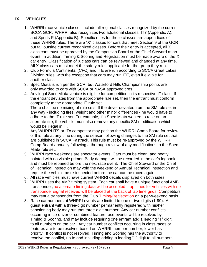## **IX. VEHICLES**

- 1. WHRRI race vehicle classes include all regional classes recognized by the current SCCA GCR. WHRRI also recognizes two additional classes, IT7 (Appendix A), and Sports R (Appendix B). Specific rules for these classes are appendices of these WHRRI rules. There are "X" classes for cars that meet Section 9 of the GCR but fall outside current recognized classes. Before their entry is accepted, all X class cars must be approved by the Competition Board or the Chief Steward at an event. In addition, Timing & Scoring and Registration must be made aware of the X car entry. Classification of X class cars can be reviewed and changed at any time. All X class cars must meet the safety rules applicable for the group they run.
- 2. Club Formula Continental (CFC) and ITE are run according to SCCA Great Lakes Division rules; with the exception that cars may run ITE, even if eligible for another class.
- 3. Spec Miata is run per the GCR, but Waterford Hills Championship points are only awarded to cars with SCCA or NASA approved tires.
- 4. Any legal Spec Miata vehicle is eligible for competition in its respective IT class. If the entrant deviates from the appropriate rule set, then the entrant must conform completely to the appropriate IT rule set.

There shall be no mixing of rule sets. If the driver deviates from the SM rule set in any way - including tires, weight and other minor differences - he would have to adhere to the IT rule set. For example, if a Spec Miata wanted to race on an alternate tire, the vehicle must also remove any specific SM modification which would be illegal in IT.

Any WHRRI ITS or ITA competitor may petition the WHRRI Comp Board for review of this rule at any time during the season following changes to the SM rule set that are published in SCCA Fastrack. This rule must be re-approved by the WHRRI Comp Board annually following a thorough review of any modifications to the Spec Miata rule set.

- 5. WHRRI race weekends are spectator events. Cars must be clean, and neatly painted with no visible primer. Body damage will be recorded in the car's logbook and must be repaired before the next race event. The Chief Steward or the Chief of Technical Inspection may void the weekend or Annual Technical Inspection and require the vehicle be re-inspected before the car can be raced again.
- 6. All race vehicles must have current WHRRI decals displayed on both sides.
- 7. WHRRI uses the AMB timing system. Each car shall have a unique functional AMB transponder, no alternate timing data will be accepted. Lap times for vehicles with no transponder signal received will be placed at the back of lap time grids. Competitors may rent a transponder from the Club Timing/Registration on a per-weekend basis.
- 8. Race car numbers at WHRRI events are limited to one or two digits (1-99). A guest entrant with a three-digit number permanently registered with his/her sanctioning body may run that three-digit number. Any car number conflicts occurring in co-driver or combined feature race events will be resolved by Timing & Scoring, and may include requiring one entrant add a leading "1" digit to all numbers on the car. Any car number conflicts occurring in class races or features are to be resolved based on WHRRI member number, lower has priority. If conflict is not resolved, Timing and Scoring has the authority to resolve the conflict, up to and including adding a leading "1" digit to all numbers.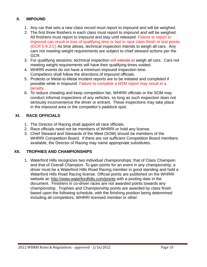#### **X. IMPOUND**

- 1. Any car that sets a new class record must report to impound and will be weighed.
- 2. The first three finishers in each class must report to impound and will be weighed. All finishers must report to impound and stay until released. Failure to report to Impound can result in loss of qualifying time or last in race class finish or lost points. (GCR 5.9.3.C) As time allows, technical inspection intends to weigh all cars. Any cars not meeting weight requirements are subject to chief steward actions per the GCR.
- 3. For qualifying sessions, technical inspection will intends to weigh all cars. Cars not meeting weight requirements will have their qualifying times voided.
- 4. WHRRI events do not have a minimum impound inspection time. Competitors shall follow the directions of impound officials.
- 5. Protests or Metal-to-Metal incident reports are to be initiated and completed if possible while in Impound. Failure to complete a M2M report may result in a penalty.
- 6. To reduce cheating and keep competition fair, WHRRI officials or the SOM may conduct informal inspections of any vehicles, so long as such inspection does not seriously inconvenience the driver or entrant. These inspections may take place in the impound area or the competitor's paddock spot.

#### **XI. RACE OFFICIALS**

- 1. The Director of Racing shall appoint all race officials.
- 2. Race officials need not be members of WHRRI or hold any license.
- 3. Chief Steward and Stewards of the Meet (SOM) should be members of the WHRRI Competition Board. If there are not sufficient Competition Board members available, the Director of Racing may name appropriate substitutes.

#### **XII. TROPHIES AND CHAMPIONSHIPS**

1. Waterford Hills recognizes two individual championships; that of Class Champion and that of Overall Champion. To gain points for an event in any championship, a driver must be a Waterford Hills Road Racing member in good standing and hold a Waterford Hills Road Racing license. Official points are published on the WHRRI website at:<http://www.waterfordhills.com/points> with a posting date in the document. Finishers in co-driver races are not awarded points towards any championship. Trophies and Championship points are awarded by class finish based upon the following schedule, with the finishing position being determined including all competitors, WHRRI licensed member or other: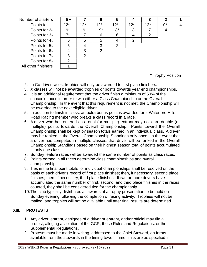Number of starters *8* **+ 7 6 5 4 3 2 1**

Points for 1st Points for 2nd Points for  $3<sub>d</sub>$ Points for  $4<sub>th</sub>$ Points for  $5<sub>h</sub>$ Points for  $6<sub>b</sub>$ Points for  $7<sub>th</sub>$ Points for  $8<sub>th</sub>$ All other finishers 1

| $8+$  |                | 6              | 5              | 4     | 3     | 2     |  |
|-------|----------------|----------------|----------------|-------|-------|-------|--|
| $12*$ | $12*$          | $12*$          | $12*$          | $12*$ | $12*$ | $10*$ |  |
| $9*$  | $9*$           | $9*$           | $8*$           | 8     |       |       |  |
| $7*$  | 7              | 6              | 6              | 4     | 2     |       |  |
| 6     | 5              | 5              |                | 2     |       |       |  |
| 5     | 4              | 3              | $\overline{2}$ |       |       |       |  |
| 4     | 3              | $\overline{2}$ |                |       |       |       |  |
| 3     | $\overline{2}$ |                |                |       |       |       |  |
| 2     |                |                |                |       |       |       |  |
|       |                |                |                |       |       |       |  |

\* Trophy Position

- 2. In Co-driver races, trophies will only be awarded to first place finishers.
- 3. X classes will not be awarded trophies or points towards year end championships.
- 4. It is an additional requirement that the driver finish a minimum of 50% of the season's races in order to win either a Class Championship or the Overall Championship. In the event that this requirement is not met, the Championship will be awarded to the next eligible driver.
- 5. In addition to finish in class, an extra bonus point is awarded for a Waterford Hills Road Racing member who breaks a class record in a race.
- 6. A driver who has entered as a dual (or multiple) entrant may not earn double (or multiple) points towards the Overall Championship. Points toward the Overall Championship shall be kept by season totals earned in an individual class. A driver may be ranked in the Overall Championship Standings only once. In the event that a driver has competed in multiple classes, that driver will be ranked in the Overall Championship Standings based on their highest season total of points accumulated in only one class.
- 7. Sunday feature races will be awarded the same number of points as class races**.**
- 8. Points earned in all races determine class championships and overall championship.
- 9. Ties in the final point totals for individual championships shall be resolved on the basis of each driver's record of first place finishes; then, if necessary, second place finishes; then, if necessary, third place finishes. If two or more drivers have accumulated the same number of first, second, and third place finishes in the races counted, they shall be considered tied for the championship.
- 10.The club typically distributes all awards at a trophy presentation to be held on Sunday evening following the completion of racing activity. Trophies will not be mailed, and trophies will not be available until after final results are determined.

## **XIII. PROTESTS**

- 1. Any driver, entrant, designee of a driver or entrant, and/or official may file a protest, alleging a violation of the GCR, these Rules and Regulations, or the Supplemental Regulations.
- 2. Protests must be made in writing, addressed to the Chief Steward, on forms available from the stewards in the timing tower. Time limits are as specified in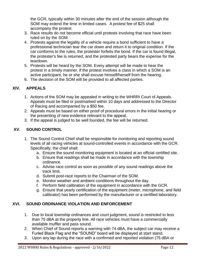the GCR, typically within 30 minutes after the end of the session although the SOM may extend the time in limited cases. A protest fee of \$25 shall accompany the protest.

- 3. Race results do not become official until protests involving that race have been ruled on by the SOM.
- 4. Protests against the legality of a vehicle require a bond sufficient to have a professional technician tear the car down and return it to original condition. If the car conforms to the rules, the protester forfeits the bond. If the car is found illegal, the protester's fee is returned, and the protested party bears the expense for the teardown.
- 5. Protests will be heard by the SOM. Every attempt will be made to hear the protest in a timely manner. If the protest involves a class in which a SOM is an active participant, he or she shall excuse himself/herself from the hearing.
- 6. The decision of the SOM will be provided to all affected parties.

## **XIV. APPEALS**

- 1. Actions of the SOM may be appealed in writing to the WHRRI Court of Appeals. Appeals must be filed or postmarked within 10 days and addressed to the Director of Racing and accompanied by a \$50 fee.
- 2. Appeals must be based on either proof of procedural errors in the initial hearing or the presenting of new evidence relevant to the appeal.
- 3. If the appeal is judged to be well founded, the fee will be returned.

## **XV. SOUND CONTROL**

- 1. The Sound Control Chief shall be responsible for monitoring and reporting sound levels of all racing vehicles at sound-controlled events in accordance with the GCR. Specifically, the chief shall:
	- a. Ensure the sound monitoring equipment is located at an official certified site.
	- b. Ensure that readings shall be made in accordance with the township ordinance.
	- c. Advise race control as soon as possible of any sound readings above the track limit.
	- d. Submit post-race reports to the Chairman of the SOM.
	- e. Monitor weather and ambient conditions throughout the day.
	- f. Perform field calibration of the equipment in accordance with the GCR.
	- g. Ensure that yearly certification of the equipment (meter, microphone, and field calibrator) has been performed by the manufacturer or a certified laboratory.

## **XVI. SOUND ORDINANCE VIOLATION AND ENFORCEMENT**

- 1. Due to local township ordinances and court judgment, sound is restricted to less than 75 dBA at the property line. All race vehicles must have a commercially available muffler and pass sound.
- 2. When Chief of Sound reports a warning with 74 dBA, the subject car may receive a Furled Black Flag and the "SOUND" board will be displayed at start stand.
- 3. Upon any lap during the race with a confirmed and reported violation (75 dBA or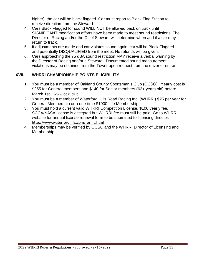higher), the car will be black flagged. Car must report to Black Flag Station to receive direction from the Steward.

- 4. Cars Black Flagged for sound WILL NOT be allowed back on track until SIGNIFICANT modification efforts have been made to meet sound restrictions. The Director of Racing and/or the Chief Steward will determine when and if a car may return to track.
- 5. If adjustments are made and car violates sound again, car will be Black Flagged and potentially DISQUALIFIED from the meet. No refunds will be given.
- 6. Cars approaching the 75 dBA sound restriction MAY receive a verbal warning by the Director of Racing and/or a Steward. Documented sound measurement violations may be obtained from the Tower upon request from the driver or entrant.

## **XVII. WHRRI CHAMPIONSHIP POINTS ELIGIBILITY**

- 1. You must be a member of Oakland County Sportsman's Club (OCSC). Yearly cost is \$255 for General members and \$140 for Senior members (62+ years old) before March 1st. [www.ocsc.club](file:///C:/Users/vzbdfr/Documents/Personal_Records/Racing/WHRRI/Comp%20Board/Rules/2020/www.ocsc.club)
- 2. You must be a member of Waterford Hills Road Racing Inc. (WHRRI) \$25 per year for General Membership or a one-time \$1000 Life Membership.
- 3. You must hold a current valid WHRRI Competition License. \$100 yearly fee. SCCA/NASA license is accepted but WHRRI fee must still be paid. Go to WHRRI website for annual license renewal form to be submitted to licensing director. <http://www.waterfordhills.com/forms.html>
- 4. Memberships may be verified by OCSC and the WHRRI Director of Licensing and Membership.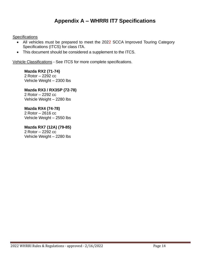# **Appendix A – WHRRI IT7 Specifications**

**Specifications** 

- All vehicles must be prepared to meet the 2022 SCCA Improved Touring Category Specifications (ITCS) for class ITA.
- This document should be considered a supplement to the ITCS.

Vehicle Classifications - See ITCS for more complete specifications.

**Mazda RX2 (71-74)** 2 Rotor – 2292 cc Vehicle Weight – 2300 lbs

**Mazda RX3 / RX3SP (72-78)** 2 Rotor – 2292 cc Vehicle Weight – 2280 lbs

## **Mazda RX4 (74-78)**

2 Rotor – 2616 cc Vehicle Weight – 2550 lbs

**Mazda RX7 (12A) (79-85)** 2 Rotor – 2292 cc Vehicle Weight – 2280 lbs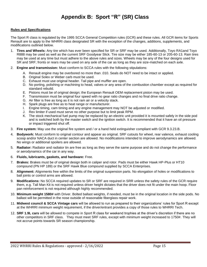# **Appendix B: Sport "R" (SR) Class**

#### **Rules and Specifications**

The Sport R class is regulated by the 1995 SCCA General Competition rules (GCR) and these rules. All GCR items for Sports Renault are to apply to the WHRRI class designated SR with the exception of the changes, additions, supplements, and modifications outlined below.

- 1. **Tires and Wheels:** Any tire which has ever been specified for SR or SRF may be used. Additionally, Toyo RA1and Toyo R888 may be used as well as the current SRF Goodyear Slick. Tire size may be either 185-60-13 or 205-60-13. Rain tires may be used at any time but must adhere to the above rules and sizes. Wheels may be any of the four designs used for SR and SRF; fronts or rears may be used on any axle of the car as long as they are size-matched on each axle.
- 2. **Engine and transmission:** Must conform to SCCA rules with the following stipulations:
	- A. Renault engine may be overbored no more than .010. Seals do NOT need to be intact or applied.
	- B. Original Solex or Weber carb must be used.
	- C. Exhaust must use original header. Tail pipe and muffler are open.
	- D. No porting, polishing or machining to head, valves or any area of the combustion chamber except as required for standard rebuild.
	- E. Pistons must be of original design; the European Renault OEM replacement piston may be used.
	- F. Transmission must be original four speed with no gear ratio changes and no final drive ratio change.
	- G. Air filter is free as long as it is not ram air or a velocity stack.
	- H. Spark plugs are free as to heat range or manufacturer.
	- I. Engine timing, cam timing and any engine management may NOT be adjusted or modified.
	- J. Rev limiter if used must serve no other purpose but to limit peak RPM.
	- K. The stock mechanical fuel pump may be replaced by an electric unit provided it is mounted safely in the side pod and is switched both by the master switch and the ignition switch. It is recommended that it have an oil pressure or impact triggered shut off.
- 3. **Fire system:** May use the original fire system and / or a hand held extinguisher compliant with GCR 9.3.23.B.
- 4. **Bodywork:** Must conform to original contour and appear as original. SRF cutouts for wheel, rear valence, exhaust cooling scoop and/or NACA duct in center section are allowed. No modifications intended to improve aerodynamics are allowed. No wings or additional spoilers are allowed.
- 5. **Radiator:** Radiator and radiator tin are free as long as they serve the same purpose and do not change the performance or aerodynamics of the car in any way.
- 6. **Fluids, lubricants, gaskets, and hardware:** Free.
- 7. **Brakes:** Brakes must be of original design both in caliper and rotor. Pads must be either Hawk HP-Plus or HT10 compound (PN HP 189) or the SRF Hawk Blue compound supplied by SCCA Enterprises.
- 8. **Alignment:** Alignments free within the limits of the original suspension parts. No elongation of holes or modifications to ball joints or control arms are allowed.
- 9. **Modifications:** No SCCA required updates to SR or SRF are required in SRR unless the safety rules of the GCR require them, e.g. Tall Man Kit is not required unless driver height dictates that the driver does not fit under the main hoop. Floor pan reinforcement is not required although highly recommended.
- 10. **Minimum weight 1580#** with Driver. Bolted ballast weights, if needed, must be in the original location in the side pods. No ballast will be permitted in the nose outside of reasonable fiberglass repair work.
- 11. **Midwest council & SCCA Vintage cars** will be allowed to run as prepared to their organizations' rules for Sport R except at the WHRRI minimum weight requirement, if the driver/entrant provides a copy of those rules to WHRRI Tech.
- 12. **SRF 1.9L cars** will be allowed to compete in Sport R class for weekend trophies at the driver's discretion if there are no other competitors in SRF class. They must meet SRF rules, except with minimum weight increased to 1750#. They will not accrue points towards SR season championship.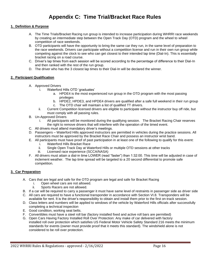# **Appendix C: Time Trial/Bracket Race Rules**

#### **1. Definition & Purpose**

- A. The Time Trials/Bracket Racing run group is intended to increase participation during WHRRI race weekends by creating an intermediate step between the Open Track Day (OTD) program and the wheel to wheel competition of race weekends.
- B. OTD participants will have the opportunity to bring the same car they run, in the same level of preparation to the race weekends. Drivers can participate without a competition license and run in their own run group while competing against the clock to see who can get closest to their intended lap time (Dial-In). This is essentially bracket racing on a road course.
- C. Driver's lap times from each session will be scored according to the percentage of difference to their Dial-In and then ranked with the rest of the run group.
- D. The driver who has the 3 closest lap times to their Dial-In will be declared the winner.

#### **2. Participant Qualification**

- A. Approved Drivers
	- i. Waterford Hills OTD 'graduates'
		- a. HPDE4 is the most experienced run group in the OTD program with the most passing privileges
		- b. HPDE2, HPDE3, and HPDE4 drivers are qualified after a safe full weekend in their run group
		- c. The OTD chair will maintain a list of qualified TT drivers.
	- ii. Current Competition licensed drivers are eligible to participate without the instructor buy off ride, but must comply with all passing rules.
- B. Un-Approved Drivers
	- i. All participants will be monitored during the qualifying session. The Bracket Racing Chair reserves the right to remove drivers that will interfere with the operation of the timed event.
- C. All drivers must attend mandatory driver's meetings.
- D. Passengers Waterford Hills approved instructors are permitted in vehicles during the practice sessions. All instructors must be approved by the Bracket Race Chair and possess an instructor wrist band.
- E. All participants must have proof of past participation in at least one of the following to qualify for this event:
	- i. Waterford Hills Bracket Race
	- ii. Single Open Track Day at Waterford Hills or multiple OTD sessions at other tracks
	- iii. Licensed race experience (SCCA/NASA)
- F. All drivers must attain a dial-in time LOWER (read "faster") than 1:32:00. This time will be adjusted in case of inclement weather. The lap time spread will be targeted to a 20 second differential to promote safe competition.

#### **3. Car Preparation**

- A. Cars that are legal and safe for the OTD program are legal and safe for Bracket Racing
	- i. Open wheel cars are not allowed.
	- ii. Sports Racers are not allowed.
- B. If a car will be required to carry a passenger it must have same level of restraints in passenger side as driver side
- C. All cars are required to have a functional transponder in accordance with Section VI.8. Transponders will be available for rent. It is the driver's responsibility to obtain and install them prior to the first on-track session.
- D. Class letters and numbers will be applied to windows of the vehicle by Waterford Hills officials after successfully completing a technical inspection
- E. Good condition, working seat belts.
- F. Convertibles must have a steel roll bar (factory installed fixed and active roll bars are permitted)
- G. Open Cars Having Factory Installed Roll Over Protection: Any make of car delivered with factory installed roll over protection which satisfies US Federal Motor Vehicle Safety Standard 216 meets the minimum standards for events (owner must provide proof that it meets this standard). The windshield alone is not considered to be roll over protection.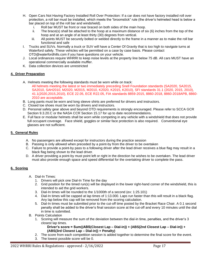- H. Open Cars Not Having Factory Installed Roll Over Protection: If a car does not have factory installed roll over protection, a roll bar must be installed, which meets the "broomstick" rule (the driver's helmeted head is below a bar placed on top of the roll bar and windshield).
	- i. Roll bar MUST be front or rear braced on both sides of the main hoop.
	- ii. The brace(s) shall be attached to the hoop at a maximum distance of six (6) inches from the top of the hoop and at an angle of at least thirty (30) degrees from vertical.
	- iii. All points MUST be securely bolted or welded directly to the frame in a manner as to make the roll bar functional and safe
- I. Trucks and SUVs. Normally a truck or SUV will have a Center Of Gravity that is too high to navigate turns at Waterford safely. These vehicles will be permitted on a case by case basis. Please contact OTD@waterfordhills.com if you have questions on your vehicle.
- J. Local ordinances require WHRRI to keep noise levels at the property line below 75 dB. All cars MUST have an operational commercially available muffler.
- K. Data collection devices are unrestricted

#### **4. Driver Preparation**

- A. Helmets meeting the following standards must be worn while on track:
	- All helmets meeting the latest or two immediately preceding Snell Foundation standards (SA2020, SA2015, SA2010, SAH2010, M2020, M2015, M2010, K2020, K2015, K2010), SFI standards 31.1 (2020, 2015, 2010), 41.1(2020,2015,2010), ECE 22.05, ECE R22.05, FIA standards 8859-2015, 8860-2018, 8860-2018APB, 8860- 2010 are acceptable.
- B. Long pants must be worn and long sleeve shirts are preferred for drivers and instructors.
- C. Closed toe shoes must be worn by drivers and instructors.
- D. Personal safety gear above and beyond OTD requirements is strongly encouraged. Please refer to SCCA GCR Section 9.3.20.C or the NASA CCR Section 15.17 for up to date recommendations.
- E. Full face or modular helmets shall be worn while competing in any vehicle with a windshield that does not provide full occupant coverage. Face shield, goggles or similar face protection is also required. Conventional eye glasses are not sufficient.

#### **5. General Rules**

- A. No passengers are allowed except for instructors during the practice session
- B. Passing is only allowed when preceded by a point-by from the driver to be overtaken
- C. Failure to provide a point-by pass to a following driver after the lead driver receives a blue flag may result in a black flag being shown to the lead driver.
- D. A driver providing a point-by must point left or right in the direction he wishes to be overtaken. The lead driver must also provide enough space and speed differential for the overtaking driver to complete the pass.

#### **6. Scoring**

- A. Dial-In Times:
	- 1. Drivers will pick one Dial-In Time for the day
	- 2. Grid position for the timed run(s) will be displayed in the lower right-hand corner of the windshield, this is intended to aid the grid workers.
	- 3. Dial-In times will be rounded to the 1/1000th of a second (ex: 1:25.101)
	- 4. Dial-In times will be capped at lap times of 1:13.000. Laps run faster than this will result in a black flag. Any lap below this cap will be removed from the scoring calculation.
	- 5. Dial-In times must be submitted prior to the cut-off time posted by the Bracket Race Chair. A 0.1 second penalty shall be added to the driver's final session score at the cut-off and every 10 minutes until the dial in time is submitted.
- B. Points Calculation
	- 1. Scoring will measure the sum of the deviation between the dial-in time, penalties, and the driver's 3 closest lap times.

**Driver's score = Sum((ABS(Closest Lap – Dial-in)) + (ABS(2nd Closest Lap – Dial-in)) + (ABS(3rd Closest Lap – Dial-in)) + Penalty)**

- 2. The score from each competition session is added together to determine the final score for the event.
- 3. The lowest possible score will be 0.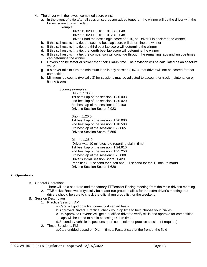- 4. The driver with the lowest combined score wins.
	- a. In the event of a tie after all session scores are added together, the winner will be the driver with the lowest score in a single lap.

Example:

Driver 1:  $.020 + .018 + .010 = 0.048$ 

Driver 2:  $.020 + .016 + .012 = 0.048$ 

Driver 1 had the best single score of .010, so Driver 1 is declared the winner

- b. If this still results in a tie, the second best lap score will determine the winner
- c. If this still results in a tie, the third best lap score will determine the winner
- d. If this still results in a tie, the fourth best lap score will determine the winner
- e. If this still results in a tie, the comparison will continue through the remaining laps until unique times can determine the winner
- f. Drivers can be faster or slower than their Dial-In time. The deviation will be calculated as an absolute value.
- g. If a driver fails to turn the minimum laps in any session (DNS), that driver will not be scored for that competition.
- h. Minimum lap counts (typically 3) for sessions may be adjusted to account for track maintenance or timing issues.

Scoring examples:

Dial-In: 1:30.0 1st best Lap of the session: 1:30.003 2nd best lap of the session: 1:30.020 3rd best lap of the session: 1:29.100 Driver's Session Score: 0.923

Dial-In:1:20.0 1st best Lap of the session: 1:20.000 2nd best lap of the session: 1:18.500 3rd best lap of the session: 1:22.065 Driver's Session Score: 3.565

Dial-In: 1:25.0 [Driver was 10 minutes late reporting dial in time] 1st best Lap of the session: 1:24.910 2nd best lap of the session: 1:25.250 3rd best lap of the session: 1:26.080 Driver's Initial Session Score: 1.420 Penalties (0.1 second for cutoff and 0.1 second for the 10 minute mark) Driver's Session Score: 1.620

#### **7. Operations**

- A. General Operations
	- 1. There will be a separate and mandatory TT/Bracket Racing meeting from the main driver's meeting
	- 2. TT/Bracket Race would typically be a later run group to allow for the extra driver's meeting, but drivers should be sure to check the official run group list for the weekend.
- B. Session Description
	- 1. Practice Session: AM
		- a.Cars will grid on a first come, first served basis
		- b.Approved Drivers: Practice, check your lap time to help choose your Dial-In
		- c.Un-Approved Drivers: Will get a qualified driver to verify skills and approve for competition. Laps will be timed to aid in choosing Dial-In time.
		- d.Secondary vehicle inspections upon completion of practice session (if required)
	- 2. Timed Sessions: PM
		- a.Cars gridded based on Dial-In times. Fastest cars at the front of the field